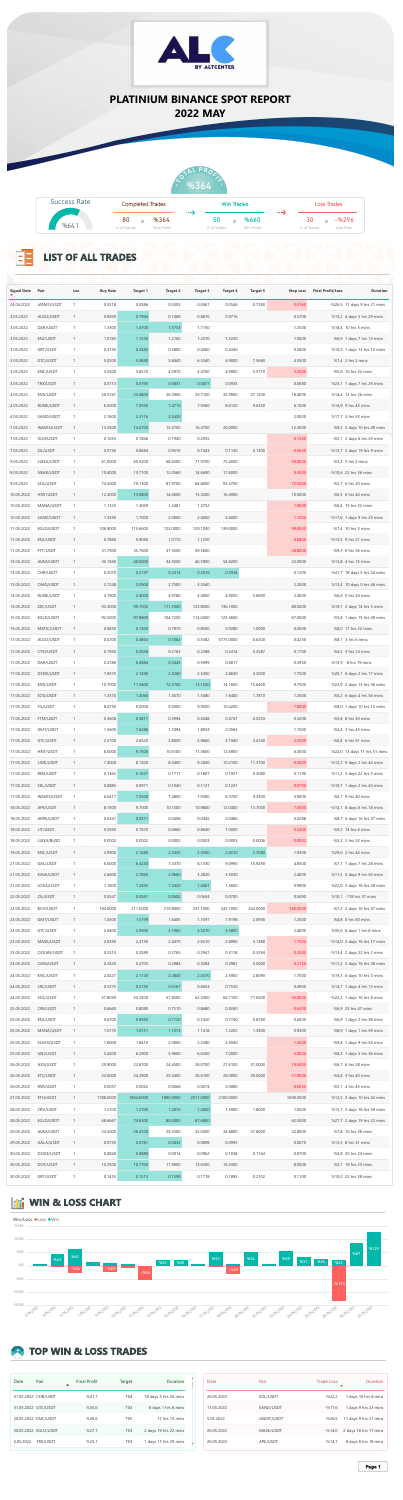## **TOP WIN & LOSS TRADES**

| Date      | Pair                 | <b>Final Profit</b> | Target           | Duration                 |
|-----------|----------------------|---------------------|------------------|--------------------------|
|           | 31.05.2022 CHR/USDT  | %41,7               | <b>T04</b>       | 18 days 5 hrs 54 mins    |
|           | 31.05.2022 GTC/USDT  | %35,6               | <b>T04</b>       | 8 days 1 hrs 8 mins      |
|           | 20.05.2022 KNC/USDT  | %29,6               | <b>T05</b>       | 11 hrs $13 \text{ mins}$ |
|           | 30.05.2022 EGLD/USDT | %27,7               | T <sub>0</sub> 3 | 2 days 19 hrs 22 mins    |
| 5.05.2022 | <b>TRX/USDT</b>      | %23,1               | T <sub>0</sub> 3 | 1 days 11 hrs 29 mins    |



## **The Second Second**

| Date       | Pair              | <b>Trade Loss</b> | <b>Duration</b>       |
|------------|-------------------|-------------------|-----------------------|
| 26.05.2022 | SOL/USDT          | $-%22,2$          | 1 days 16 hrs 8 mins  |
| 11.05.2022 | SAND/USDT         | $-%17,6$          | 1 days 9 hrs 23 mins  |
| 5.05.2022  | <b>JASMY/USDT</b> | $-%26,5$          | 11 days 9 hrs 21 mins |
| 26.05.2022 | MASK/USDT         | $-%14,0$          | 2 days 16 hrs 17 mins |
| 26.05.2022 | APE/USDT          | $-%14,1$          | 8 days 6 hrs 18 mins  |



| <b>Success Rate</b> | <b>Completed Trades</b> |                     | <b>B</b> 2010 |             | Win Trades |            | $\bullet$ $\bullet$ $\bullet$ $\bullet$ |             | Loss Trades |
|---------------------|-------------------------|---------------------|---------------|-------------|------------|------------|-----------------------------------------|-------------|-------------|
|                     | 80                      | %364                |               | 50          |            | %660       |                                         | 30          | $-96296$    |
| %64,1               | # of Signals            | <b>Total Profit</b> |               | # of Trades |            | Win Profit |                                         | # of Trades | Loss Rate   |

| <b>Signal Date</b>       | Pair                   | Lev. | <b>Buy Rate</b>   | <b>Target 1</b>   | <b>Target 2</b>    | <b>Target 3</b>    | <b>Target 4</b>    | <b>Target 5</b>   | <b>Stop Loss</b>  | <b>Final Profit/Loss</b> | <b>Duration</b>                                          |
|--------------------------|------------------------|------|-------------------|-------------------|--------------------|--------------------|--------------------|-------------------|-------------------|--------------------------|----------------------------------------------------------|
| 24.04.2022               | JASMY/USDT             |      | 0.0218            | 0.0386            | 0.0303             | 0.0461             | 0.0546             | 0.7280            | 0.0160            |                          | $-$ %26,5 11 days 9 hrs 21 mins                          |
| 3.05.2022                | ALGO/USDT              |      | 0.6939            | 0.7994            | 0.7488             | 0.8676             | 0.9716             |                   | 0.5700            |                          | %15,2 4 days 5 hrs 29 mins                               |
| 3.05.2022                | DAR/USDT               |      | 1.3300            | 1.4700            | 1.5753             | 1.7150             |                    |                   | 1.2500            |                          | %18,4 10 hrs 5 mins                                      |
| 3.05.2022                | ENJ/USDT               |      | 1.0783            | 1.1530            | 1.2100             | 1.2570             | 1.3230             |                   | 1.0000            |                          | %6,9 1 days 7 hrs 13 mins                                |
| 3.05.2022                | GRT/USDT               |      | 0.3150            | 0.3482            | 0.3800             | 0.4060             | 0.4346             |                   | 0.2800            |                          | %10,5 1 days 13 hrs 12 mins                              |
| 3.05.2022                | GTC/USDT               |      | 5.0200            | 5.3890            | 5.8440             | 6.3340             | 6.9000             | 7.5680            | 4.3500            |                          | %7,4 2 hrs 2 mins                                        |
| 3.05.2022                | KNC/USDT               |      | 3.5500            | 3.8570            | 4.0970             | 4.4760             | 4.9900             | 5.5710            | 3.3500            |                          | $-$ %5,6 10 hrs 22 mins                                  |
| 3.05.2022                | TRX/USDT               |      | 0.0713            | 0.0790            | 0.0831             | 0.0877             | 0.0935             |                   | 0.0680            |                          | %23,1 1 days 7 hrs 29 mins                               |
| 4.05.2022                | ENS/USDT               |      | 20.5167           | 23.4800           | 26.5900            | 29.7100            | 32.9900            | 37.1200           | 18.4000           |                          | %14,4 12 hrs 26 mins                                     |
| 4.05.2022<br>4.05.2022   | RUNE/USDT<br>SAND/USDT |      | 6.5000<br>2.1600  | 7.0930<br>2.3116  | 7.4710<br>2.5420   | 7.9360             | 8.6120             | 9.6330            | 6.1000<br>2.0000  |                          | %14,9 9 hrs 43 mins<br>%17,7 3 hrs 33 mins               |
| 7.05.2022                | WAVES/USDT             |      | 13.2500           | 14.4700           | 15.3700            | 16.3700            | 20.0000            |                   | 12.3000           |                          | %9,2 2 days 10 hrs 49 mins                               |
| 7.05.2022                | <b>XLM/USDT</b>        |      | 0.1633            | 0.1846            | 0.1940             | 0.2055             |                    |                   | 0.1550            |                          | $-$ %5,1 2 days 6 hrs 35 mins                            |
| 7.05.2022                | ZIL/USDT               |      | 0.0730            | 0.8684            | 0.9576             | 0.1043             | 0.1130             | 0.1300            | 0.0630            |                          | $-$ %13,7 2 days 19 hrs 9 mins                           |
| 9.05.2022                | LUNA/USDT              |      | 61.0000           | 65.3200           | 68.6500            | 71.9700            | 75.4000            |                   | 59.0000           |                          | $-$ %3,3 5 hrs 2 mins                                    |
| 9.05.2022                | NEAR/USDT              |      | 10.4000           | 13.7100           | 12.0560            | 14.6690            | 17.6000            |                   | 9.3000            |                          | $-$ %10,6 22 hrs 36 mins                                 |
| 9.05.2022                | SOL/USDT               |      | 74.5000           | 79.1300           | 81.9700            | 84.8000            | 93.5700            |                   | 72.5000           |                          | $-$ %2,7 6 hrs 30 mins                                   |
| 10.05.2022               | HNT/USDT               |      | 12.3000           | 13.0800           | 14.0600            | 15.3200            | 16.4900            |                   | 10.5000           |                          | %6,3 6 hrs 44 mins                                       |
| 10.05.2022               | MANA/USDT              |      | 1.1325            | 1.3069            | 1.2481             | 1.3752             |                    |                   | 1.0600            |                          | $-$ %6,4 15 hrs 52 mins                                  |
| 10.05.2022               | SAND/USDT              |      | 1.3350            | 1.7000            | 2.0000             | 2.4000             | 2.6000             |                   | 1.1000            |                          | $-$ %17,6 1 days 9 hrs 23 mins                           |
| 11.05.2022               | EGLD/USDT              |      | 106.9000          | 115.6600          | 123.0000           | 129.1000           | 139.0000           |                   | 99.0000           |                          | $-$ %7,4 10 hrs 5 mins                                   |
| 11.05.2022               | ENJ/USDT               |      | 0.7860            | 0.9060            | 1.0170             | 1.1250             |                    |                   | 0.6800            |                          | $-$ %13,5 9 hrs 51 mins                                  |
| 11.05.2022               | FTT/USDT               |      | 31.7500           | 35.7600           | 37.5500            | 39.5600            |                    |                   | 28.8000           |                          | $-$ %9,3 9 hrs 56 mins                                   |
| 13.05.2022               | AVAX/USDT              |      | 35.1560           | 40.0000           | 34.9300            | 46.5900            | 54.8200            |                   | 22.0000           |                          | %13,8 4 hrs 15 mins                                      |
| 13.05.2022               | CHR/USDT               |      | 0.2070            | 0.2197            | 0.2413             | 0.2676             | 0.2934             |                   | 0.1200            |                          | %41,7 18 days 5 hrs 54 mins                              |
| 13.05.2022               | OMG/USDT               |      | 2.7248            | 3.0900            | 2.7500             | 3.3540             |                    |                   | 2.2000            |                          | %13,4 10 days 0 hrs 46 mins                              |
| 13.05.2022<br>13.05.2022 | RUNE/USDT<br>ZEC/USDT  |      | 3.1900<br>93.3000 | 3.4000<br>99.7000 | 3.9780<br>111.7000 | 4.4000<br>123.8000 | 4.9050<br>136.1000 | 5.6690            | 2.4000<br>80.0000 |                          | %6,6 0 hrs 34 mins<br>%19,7 2 days 14 hrs 5 mins         |
| 15.05.2022               | EGLD/USDT              |      | 92.5000           | 97.8800           | 104.7200           | 114.0400           | 123.3600           |                   | 67.0000           |                          | %5,8 1 days 15 hrs 49 mins                               |
| 15.05.2022               | MATIC/USDT             |      | 0.6850            | 0.7400            | 0.7970             | 0.8500             | 0.9280             | 1.0000            | 0.4500            |                          | %8,0 17 hrs 22 mins                                      |
| 17.05.2022               | ALGO/USDT              |      | 0.4700            | 0.4863            | 0.5082             | 0.5382             | 5775.0000          | 0.6200            | 0.4250            |                          | %8,1 3 hrs 6 mins                                        |
| 17.05.2022               | CTSI/USDT              |      | 0.1950            | 0.2038            | 0.2163             | 0.2288             | 0.2414             | 0.2587            | 0.1700            |                          | %4,5 3 hrs 14 mins                                       |
| 17.05.2022               | DAR/USDT               |      | 0.4780            | 0.4984            | 0.5443             | 0.5999             | 0.6817             |                   | 0.3950            |                          | %13,9 -8 hrs 19 mins                                     |
| 17.05.2022               | DYDX/USDT              |      | 1.9375            | 2.1490            | 2.3260             | 2.5450             | 2.8630             | 3.2000            | 1.7500            |                          | %20,1 6 days 2 hrs 17 mins                               |
| 17.05.2022               | ENS/USDT               |      | 10.7000           | 11.3400           | 12.2700            | 13.1500            | 14.1600            | 15.6400           | 9.7500            |                          | %22,9 2 days 13 hrs 36 mins                              |
| 17.05.2022               | EOS/USDT               |      | 1.3370            | 1.4060            | 1.4570             | 1.5380             | 1.6400             | 1.7810            | 1.2000            |                          | %5,2 6 days 4 hrs 56 mins                                |
| 17.05.2022               | <b>FIL/USDT</b>        |      | 8.4750            | 9.0000            | 9.5000             | 9.9500             | 10.4200            |                   | 7.8000            |                          | $-$ %8,0 1 days 10 hrs 12 mins                           |
| 17.05.2022               | FTM/USDT               |      | 0.3608            | 0.3817            | 0.3994             | 0.4348             | 0.4747             | 0.5233            | 0.3200            |                          | %5,8 8 hrs 50 mins                                       |
| 17.05.2022               | GMT/USDT               |      | 1.5600            | 1.6286            | 1.7494             | 1.8933             | 2.0563             |                   | 1.1500            |                          | %4,4 3 hrs 43 mins                                       |
| 17.05.2022               | GTC/USDT               |      | 2.5100            | 2.6520            | 2.8050             | 2.9660             | 3.1940             | 3.4140            | 2.3500            |                          | $-$ %6,4 6 hrs 51 mins                                   |
| 17.05.2022               | HNT/USDT               |      | 8.0000            | 9.7600            | 10.6100            | 11.3600            | 12.6900            |                   | 6.3000            |                          | %22,0 13 days 11 hrs 51 mins                             |
| 17.05.2022               | LINK/USDT              |      | 7.4000            | 8.1200            | 8.5400             | 9.2600             | 10.2100            | 11.3700           | 6.5000            |                          | $-$ %12,2 9 days 2 hrs 44 mins                           |
| 17.05.2022               | REN/USDT               |      | 0.1463            | 0.1627            | 0.1717             | 0.1807             | 0.1927             | 0.2080            | 0.1190            |                          | %11,2 5 days 22 hrs 5 mins                               |
| 17.05.2022               | SKL/USDT               |      | 0.0885            | 0.0971            | 0.1040             | 0.1131             | 0.1241             |                   | 0.0790            |                          | $-$ %10,7 1 days 2 hrs 43 mins                           |
| 17.05.2022<br>18.05.2022 | WAVES/USDT<br>APE/USDT |      | 6.6417<br>8.1500  | 7.0500<br>9.7000  | 7.4800<br>10.1500  | 7.9300<br>10.9800  | 8.3700<br>12.0400  | 9.3300<br>13.7000 | 5.9000<br>7.0000  |                          | %6,1 9 hrs 40 mins<br>$-$ %14,1 8 days 6 hrs 18 mins     |
| 18.05.2022               | ARPA/USDT              |      | 0.0341            | 0.0371            | 0.0408             | 0.0445             | 0.0486             |                   | 0.0288            |                          | %8,7 6 days 16 hrs 37 mins                               |
| 18.05.2022               | LIT/USDT               |      | 0.5950            | 0.7870            | 0.6960             | 0.8640             | 1.0000             |                   | 0.5400            |                          | $-$ %9,2 14 hrs 6 mins                                   |
| 18.05.2022               | LUNA/BUSD              |      | 0.0002            | 0.0002            | 0.0002             | 0.0003             | 0.0003             | 0.0006            | 0.0002            |                          | $-$ %5,2 2 hrs 52 mins                                   |
| 19.05.2022               | KNC/USDT               |      | 2.0900            | 2.1680            | 2.2430             | 2.3350             | 2.4510             | 2.7080            | 1.9300            |                          | %29,6 2 hrs 44 mins                                      |
| 21.05.2022               | GAL/USDT               |      | 6.0000            | 6.4230            | 7.2370             | 8.1330             | 9.0990             | 10.9290           | 4.8500            |                          | %7,1 1 days 7 hrs 28 mins                                |
| 21.05.2022               | KAVA/USDT              |      | 2.6600            | 2.7860            | 2.9660             | 3.2820             | 3.5030             |                   | 2.4000            |                          | %11,5 3 days 9 hrs 50 mins                               |
| 21.05.2022               | LOKA/USDT              |      | 1.1800            | 1.2495            | 1.3420             | 1.4461             | 1.5600             |                   | 0.9900            |                          | %22,6 2 days 18 hrs 28 mins                              |
| 22.05.2022               | ZIL/USDT               |      | 0.0547            | 0.0567            | 0.0602             | 0.0634             | 0.0700             |                   | 0.0490            |                          | %10,1 -118 hrs 37 mins                                   |
| 23.05.2022               | <b>BCH/USDT</b>        |      | 194.0000          | 211.5000          | 219.8000           | 231.1000           | 243.7000           | 262.0000          | 180.0000          |                          | $-$ %7,2 2 days 16 hrs 37 mins                           |
| 23.05.2022               | GMT/USDT               |      | 1.4500            | 1.5199            | 1.6405             | 1.7597             | 1.9198             | 2.0936            | 1.2000            |                          | %4,8 0 hrs 60 mins                                       |
| 23.05.2022               | GTC/USDT               |      | 2.6400            | 2.9500            | 3.1960             | 3.5370             | 3.5800             |                   | 2.4000            |                          | %35,6 8 days 1 hrs 8 mins                                |
| 23.05.2022               | MASK/USDT              |      | 2.0350            | 2.3130            | 2.4470             | 2.6510             | 2.8990             | 3.1380            | 1.7500            |                          | $-$ %14,0 2 days 16 hrs 17 mins                          |
| 23.05.2022               | OCEAN/USDT             |      | 0.2310            | 0.2589            | 0.2765             | 0.2941             | 0.3118             | 0.3294            | 0.2000            |                          | $-$ %13,4 2 days 22 hrs 2 mins                           |
| 23.05.2022               | OGN/USDT               |      | 0.2420            | 0.2703            | 0.2984             | 0.3284             | 0.3987             | 0.5000            | 0.2150            |                          | $-$ %11,2 2 days 16 hrs 28 mins                          |
| 24.05.2022<br>24.05.2022 | KNC/USDT<br>LRC/USDT   |      | 2.0427<br>0.5375  | 2.1720<br>0.5750  | 2.2840<br>0.6167   | 2.4370<br>0.6653   | 2.5900<br>0.7530   | 2.8090            | 1.7000<br>0.4900  |                          | %19,3 6 days 10 hrs 3 mins<br>%14,7 1 days 4 hrs 13 mins |
| 24.05.2022               | SOL/USDT               |      | 57.8059           | 53.2500           | 57.8500            | 62.3300            | 66.7100            | 71.6500           | 45.0000           |                          | $-$ %22,2 1 days 16 hrs 8 mins                           |
| 25.05.2022               | C98/USDT               |      | 0.6660            | 0.8080            | 0.7510             | 0.8680             | 0.9260             |                   | 0.6200            |                          | $-$ %6,9 23 hrs 47 mins                                  |
| 25.05.2022               | ENJ/USDT               |      | 0.6700            | 0.6950            | 0.7120             | 0.7420             | 0.7740             | 0.8760            | 0.6000            |                          | %6,9 1 days 2 hrs 38 mins                                |
| 25.05.2022               | MANA/USDT              |      | 1.0170            | 1.0751            | 1.1073             | 1.1418             | 1.2202             | 1.3300            | 0.9300            |                          | %8,9 1 days 1 hrs 59 mins                                |
| 25.05.2022               | SUSHI/USDT             |      | 1.6000            | 1.8410            | 2.0000             | 2.2380             | 2.5940             |                   | 1.4500            |                          | $-$ %9,4 1 days 9 hrs 54 mins                            |
| 25.05.2022               | UNI/USDT               |      | 5.4500            | 6.2900            | 5.9600             | 6.6300             | 7.0000             |                   | 5.0000            |                          | $-$ %8,3 1 days 5 hrs 36 mins                            |
| 26.05.2022               | AXS/USDT               |      | 20.9000           | 22.8700           | 24.4500            | 26.0700            | 27.6100            | 31.0000           | 19.5000           |                          | $-$ %6,7 6 hrs 28 mins                                   |
| 26.05.2022               | ETC/USDT               |      | 23.0000           | 24.2900           | 25.5400            | 26.6100            | 28.0000            | 30.0000           | 21.9000           |                          | $-$ %4,8 3 hrs 40 mins                                   |
| 26.05.2022               | RSR/USDT               |      | 0.0057            | 0.0062            | 0.0068             | 0.0074             | 0.0080             |                   | 0.0055            |                          | $-$ %5,1 4 hrs 45 mins                                   |
| 27.05.2022               | ETH/USDT               |      | 1788.0000         | 1834.0000         | 1895.0000          | 2011.0000          | 2100.0000          |                   | 1690.0000         |                          | %12,5 3 days 10 hrs 42 mins                              |
| 28.05.2022               | CRV/USDT               |      | 1.2100            | 1.2700            | 1.3070             | 1.4000             | 1.5900             | 1.8000            | 1.0500            |                          | %15,7 2 days 18 hrs 59 mins                              |
| 28.05.2022               | EGLD/USDT              |      | 68.6667           | 74.8300           | 80.0000            | 87.6800            |                    |                   | 62.5000           |                          | %27,7 2 days 19 hrs 22 mins                              |
| 29.05.2022               | AVAX/USDT              |      | 24.5000           | 26.4100           | 29.2500            | 32.0500            | 34.8800            | 37.8000           | 22.8000           |                          | %7,8 10 hrs 36 mins                                      |
| 29.05.2022               | GALA/USDT              |      | 0.0735            | 0.0781            | 0.0833             | 0.0898             | 0.0995             |                   | 0.0670            |                          | %13,3 8 hrs 31 mins                                      |
| 30.05.2022               | DOGE/USDT              |      | 0.0840            | 0.0880            | 0.0914             | 0.0962             | 0.1038             | 0.1164            | 0.0700            |                          | %4,8 20 hrs 24 mins                                      |
| 30.05.2022<br>30.05.2022 | DOT/USDT<br>GRT/USDT   |      | 10.2500<br>0.1453 | 10.7700<br>0.1513 | 11.9900<br>0.1599  | 13.6300<br>0.1718  | 16.3300<br>0.1895  | 0.2102            | 8.0000<br>0.1100  |                          | %5,1 19 hrs 23 mins<br>%10,0 22 hrs 38 mins              |
|                          |                        |      |                   |                   |                    |                    |                    |                   |                   |                          |                                                          |

## **WIN & LOSS CHART**